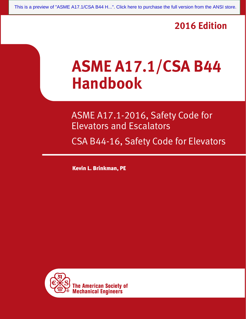### **2016 Edition**

# **ASME A17.1/CSA B44 Handbook**

ASME A17.1-2016, Safety Code for Elevators and Escalators

CSA B44-16, Safety Code for Elevators

Kevin L. Brinkman, PE

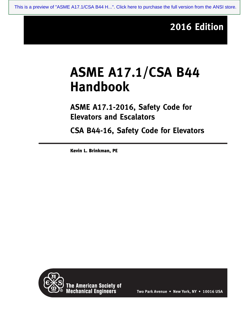## **2016 Edition**

## **ASME A17.1/CSA B44 Handbook**

**ASME A17.1-2016, Safety Code for Elevators and Escalators**

**CSA B44-16, Safety Code for Elevators**

Kevin L. Brinkman, PE



The American Society of<br>Mechanical Engineers

**Two Park Avenue • New York, NY • 10016 USA**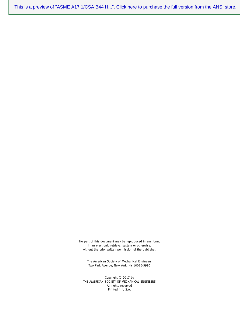[This is a preview of "ASME A17.1/CSA B44 H...". Click here to purchase the full version from the ANSI store.](https://webstore.ansi.org/Standards/ASME/ASMEA17CSAB44HB2016?source=preview)

No part of this document may be reproduced in any form, in an electronic retrieval system or otherwise, without the prior written permission of the publisher.

The American Society of Mechanical Engineers Two Park Avenue, New York, NY 10016-5990

Copyright © 2017 by THE AMERICAN SOCIETY OF MECHANICAL ENGINEERS All rights reserved Printed in U.S.A.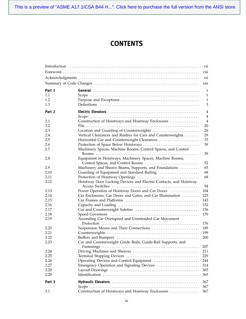[This is a preview of "ASME A17.1/CSA B44 H...". Click here to purchase the full version from the ANSI store.](https://webstore.ansi.org/Standards/ASME/ASMEA17CSAB44HB2016?source=preview)

#### **CONTENTS**

|        |                                                                   | vii            |
|--------|-------------------------------------------------------------------|----------------|
|        |                                                                   | viii           |
|        |                                                                   | xii            |
|        |                                                                   | xiii           |
| Part 1 |                                                                   | 1              |
| 1.1    |                                                                   | 1              |
| 1.2    |                                                                   | 1              |
| 1.3    |                                                                   | 3              |
| Part 2 |                                                                   | $\overline{4}$ |
|        |                                                                   | $\overline{4}$ |
| 2.1    | Construction of Hoistways and Hoistway Enclosures                 | $\overline{4}$ |
| 2.2    |                                                                   | 20             |
| 2.3    |                                                                   | 26             |
| 2.4    | Vertical Clearances and Runbys for Cars and Counterweights        | 29             |
| 2.5    | Horizontal Car and Counterweight Clearances                       | 33             |
| 2.6    |                                                                   | 39             |
| 2.7    | Machinery Spaces, Machine Rooms, Control Spaces, and Control      | 39             |
| 2.8    | Equipment in Hoistways, Machinery Spaces, Machine Rooms,          |                |
|        |                                                                   | 52             |
| 2.9    | Machinery and Sheave Beams, Supports, and Foundations             | 65             |
| 2.10   | Guarding of Equipment and Standard Railing                        | 68             |
| 2.11   |                                                                   | 68             |
| 2.12   | Hoistway Door Locking Devices and Electric Contacts, and Hoistway |                |
|        |                                                                   | 94             |
| 2.13   | Power Operation of Hoistway Doors and Car Doors                   | 104            |
| 2.14   | Car Enclosures, Car Doors and Gates, and Car Illumination         | 125            |
| 2.15   |                                                                   | 143            |
| 2.16   |                                                                   | 152            |
| 2.17   |                                                                   | 156            |
| 2.18   |                                                                   | 170            |
| 2.19   | Ascending Car Overspeed and Unintended Car Movement               |                |
|        |                                                                   | 176            |
| 2.20   |                                                                   | 189            |
| 2.21   |                                                                   | 199            |
| 2.22   |                                                                   | 200            |
| 2.23   | Car and Counterweight Guide Rails, Guide-Rail Supports, and       | 207            |
| 2.24   |                                                                   | 211            |
| 2.25   |                                                                   | 229            |
| 2.26   | Operating Devices and Control Equipment                           | 244            |
| 2.27   | Emergency Operation and Signaling Devices                         | 314            |
| 2.28   |                                                                   | 365            |
| 2.29   |                                                                   | 365            |
|        |                                                                   |                |
| Part 3 |                                                                   | 367<br>367     |
| 3.1    | Construction of Hoistways and Hoistway Enclosures                 | 367            |
|        |                                                                   |                |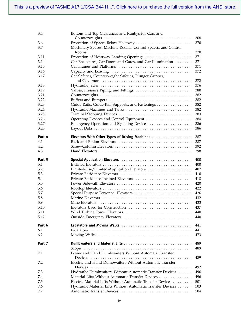| 3.4    | Bottom and Top Clearances and Runbys for Cars and            |     |
|--------|--------------------------------------------------------------|-----|
|        |                                                              | 368 |
| 3.6    |                                                              | 370 |
| 3.7    | Machinery Spaces, Machine Rooms, Control Spaces, and Control | 370 |
| 3.11   |                                                              | 371 |
| 3.14   | Car Enclosures, Car Doors and Gates, and Car Illumination    | 371 |
| 3.15   |                                                              | 371 |
| 3.16   |                                                              | 372 |
| 3.17   | Car Safeties, Counterweight Safeties, Plunger Gripper,       |     |
|        |                                                              |     |
|        |                                                              | 372 |
| 3.18   |                                                              | 376 |
| 3.19   |                                                              | 380 |
| 3.21   |                                                              | 382 |
| 3.22   |                                                              | 382 |
| 3.23   | Guide Rails, Guide-Rail Supports, and Fastenings             | 382 |
| 3.24   |                                                              | 382 |
| 3.25   |                                                              | 383 |
| 3.26   |                                                              | 384 |
| 3.27   |                                                              | 386 |
| 3.28   |                                                              | 386 |
|        |                                                              |     |
| Part 4 | Elevators With Other Types of Driving Machines               | 387 |
| 4.1    |                                                              | 387 |
| 4.2    |                                                              | 392 |
| 4.3    |                                                              | 398 |
| Part 5 |                                                              | 400 |
| 5.1    |                                                              | 400 |
| 5.2    |                                                              | 407 |
| 5.3    |                                                              | 410 |
| 5.4    |                                                              | 418 |
| 5.5    |                                                              | 420 |
|        |                                                              | 422 |
| 5.6    |                                                              |     |
| 5.7    |                                                              | 426 |
| 5.8    |                                                              | 432 |
| 5.9    |                                                              | 433 |
| 5.10   |                                                              | 437 |
| 5.11   |                                                              | 440 |
| 5.12   |                                                              | 440 |
| Part 6 |                                                              | 441 |
| 6.1    |                                                              | 441 |
| 6.2    |                                                              | 473 |
| Part 7 |                                                              | 489 |
|        |                                                              | 489 |
| 7.1    | Power and Hand Dumbwaiters Without Automatic Transfer        |     |
|        |                                                              | 489 |
| 7.2    | Electric and Hand Dumbwaiters Without Automatic Transfer     |     |
|        |                                                              | 492 |
| 7.3    | Hydraulic Dumbwaiters Without Automatic Transfer Devices     | 496 |
| 7.4    | Material Lifts Without Automatic Transfer Devices            | 496 |
| 7.5    | Electric Material Lifts Without Automatic Transfer Devices   | 501 |
| 7.6    | Hydraulic Material Lifts Without Automatic Transfer Devices  | 503 |
|        |                                                              | 504 |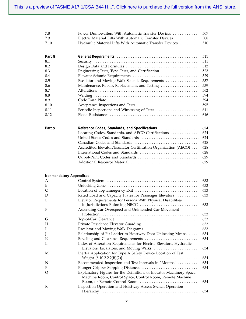| 7.8  |                                                               |  |
|------|---------------------------------------------------------------|--|
| 7.9  |                                                               |  |
| 7.10 | Hydraulic Material Lifts With Automatic Transfer Devices  510 |  |

| Part 8 |                                                  | 511 |
|--------|--------------------------------------------------|-----|
| 8.1    |                                                  | 511 |
| 8.2    |                                                  | 512 |
| 8.3    | Engineering Tests, Type Tests, and Certification | 523 |
| 8.4    |                                                  | 529 |
| 8.5    | Escalator and Moving Walk Seismic Requirements   | 537 |
| 8.6    | Maintenance, Repair, Replacement, and Testing    | 539 |
| 8.7    |                                                  | 562 |
| 8.8    |                                                  | 594 |
| 8.9    |                                                  | 594 |
| 8.10   |                                                  | 595 |
| 8.11   |                                                  | 611 |
| 8.12   |                                                  | 616 |

| Part 9 |                                                                      |  |
|--------|----------------------------------------------------------------------|--|
|        |                                                                      |  |
|        |                                                                      |  |
|        |                                                                      |  |
|        | Accredited Elevator/Escalator Certification Organization (AECO)  628 |  |
|        |                                                                      |  |
|        |                                                                      |  |
|        |                                                                      |  |

#### **Nonmandatory Appendices**

| A |                                                                      | 633 |
|---|----------------------------------------------------------------------|-----|
| B |                                                                      | 633 |
| C |                                                                      | 633 |
| D | Rated Load and Capacity Plates for Passenger Elevators               | 633 |
| E | Elevator Requirements for Persons With Physical Disabilities         |     |
|   |                                                                      | 633 |
| F | Ascending Car Overspeed and Unintended Car Movement                  |     |
|   |                                                                      | 633 |
| G |                                                                      | 633 |
| H |                                                                      | 633 |
| I |                                                                      | 633 |
| J | Relationship of Pit Ladder to Hoistway Door Unlocking Means          | 634 |
| K |                                                                      | 634 |
| L | Index of Alteration Requirements for Electric Elevators, Hydraulic   |     |
|   |                                                                      | 634 |
| M | Inertia Application for Type A Safety Device Location of Test        |     |
|   |                                                                      | 634 |
| N | Recommended Inspection and Test Intervals in "Months"                | 634 |
| P |                                                                      | 634 |
| Q | Explanatory Figures for the Definitions of Elevator Machinery Space, |     |
|   | Machine Room, Control Space, Control Room, Remote Machine            |     |
|   |                                                                      | 634 |
| R | Inspection Operation and Hoistway Access Switch Operation            |     |
|   |                                                                      | 634 |